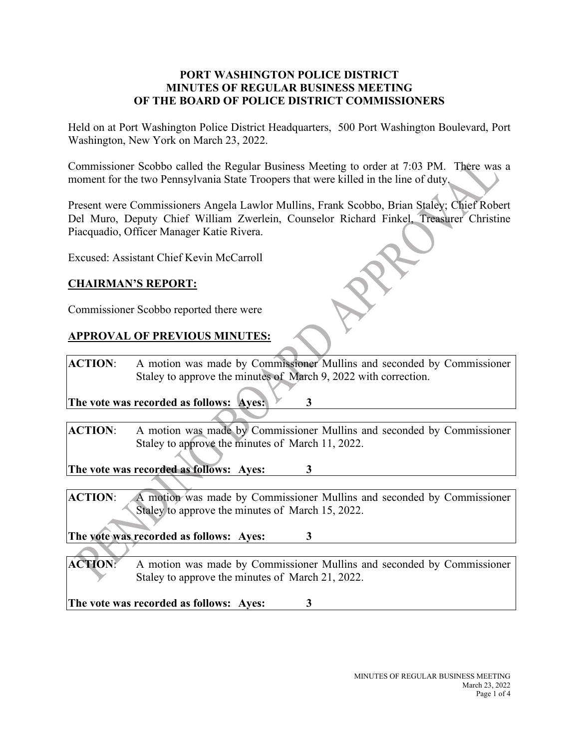#### **PORT WASHINGTON POLICE DISTRICT MINUTES OF REGULAR BUSINESS MEETING OF THE BOARD OF POLICE DISTRICT COMMISSIONERS**

Held on at Port Washington Police District Headquarters, 500 Port Washington Boulevard, Port Washington, New York on March 23, 2022.

Commissioner Scobbo called the Regular Business Meeting to order at 7:03 PM. There was a moment for the two Pennsylvania State Troopers that were killed in the line of duty.

Present were Commissioners Angela Lawlor Mullins, Frank Scobbo, Brian Staley; Chief Robert Del Muro, Deputy Chief William Zwerlein, Counselor Richard Finkel, Treasurer Christine Piacquadio, Officer Manager Katie Rivera.

Excused: Assistant Chief Kevin McCarroll

## **CHAIRMAN'S REPORT:**

Commissioner Scobbo reported there were

## **APPROVAL OF PREVIOUS MINUTES:**

**ACTION**: A motion was made by Commissioner Mullins and seconded by Commissioner Staley to approve the minutes of March 9, 2022 with correction.

**The vote was recorded as follows: Ayes: 3**

**ACTION**: A motion was made by Commissioner Mullins and seconded by Commissioner Staley to approve the minutes of March 11, 2022.

**The vote was recorded as follows: Ayes: 3**

**ACTION**: A motion was made by Commissioner Mullins and seconded by Commissioner Staley to approve the minutes of March 15, 2022.

**The vote was recorded as follows: Ayes: 3**

**ACTION**: A motion was made by Commissioner Mullins and seconded by Commissioner Staley to approve the minutes of March 21, 2022.

**The vote was recorded as follows: Ayes: 3**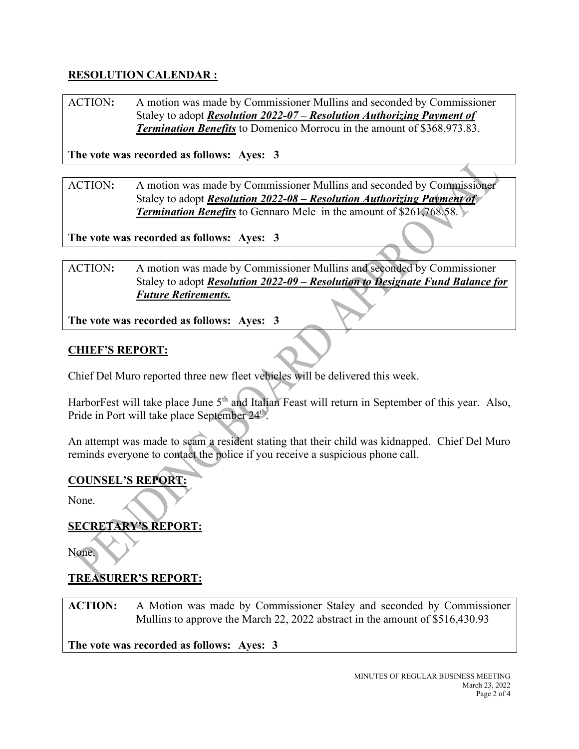# **RESOLUTION CALENDAR :**

ACTION**:** A motion was made by Commissioner Mullins and seconded by Commissioner Staley to adopt *Resolution 2022-07 – Resolution Authorizing Payment of Termination Benefits* to Domenico Morrocu in the amount of \$368,973.83.

**The vote was recorded as follows: Ayes: 3**

ACTION**:** A motion was made by Commissioner Mullins and seconded by Commissioner Staley to adopt *Resolution 2022-08 – Resolution Authorizing Payment of*  **Termination Benefits** to Gennaro Mele in the amount of \$261,768.58.

**The vote was recorded as follows: Ayes: 3**

ACTION**:** A motion was made by Commissioner Mullins and seconded by Commissioner Staley to adopt *Resolution 2022-09 – Resolution to Designate Fund Balance for Future Retirements.*

**The vote was recorded as follows: Ayes: 3**

### **CHIEF'S REPORT:**

Chief Del Muro reported three new fleet vehicles will be delivered this week.

HarborFest will take place June  $5<sup>th</sup>$  and Italian Feast will return in September of this year. Also, Pride in Port will take place September 24<sup>th</sup>.

An attempt was made to scam a resident stating that their child was kidnapped. Chief Del Muro reminds everyone to contact the police if you receive a suspicious phone call.

#### **COUNSEL'S REPORT:**

None.

### **SECRETARY'S REPORT:**

None.

## **TREASURER'S REPORT:**

**ACTION:** A Motion was made by Commissioner Staley and seconded by Commissioner Mullins to approve the March 22, 2022 abstract in the amount of \$516,430.93

**The vote was recorded as follows: Ayes: 3**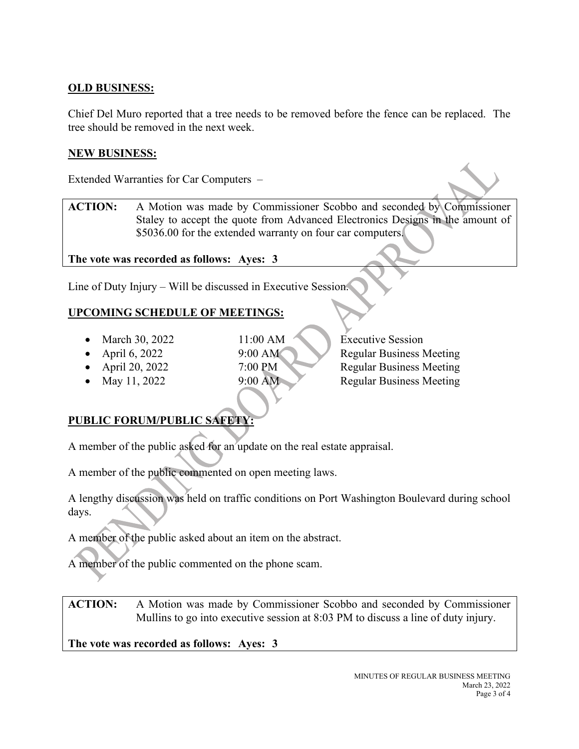## **OLD BUSINESS:**

Chief Del Muro reported that a tree needs to be removed before the fence can be replaced. The tree should be removed in the next week.

#### **NEW BUSINESS:**

Extended Warranties for Car Computers –

**ACTION:** A Motion was made by Commissioner Scobbo and seconded by Commissioner Staley to accept the quote from Advanced Electronics Designs in the amount of \$5036.00 for the extended warranty on four car computers.

**The vote was recorded as follows: Ayes: 3**

Line of Duty Injury – Will be discussed in Executive Session.

# **UPCOMING SCHEDULE OF MEETINGS:**

- March 30, 2022 11:00 AM Executive Session
- 
- 
- 
- 
- April 6, 2022 9:00 AM Regular Business Meeting • April 20, 2022 7:00 PM Regular Business Meeting • May 11, 2022 9:00 AM Regular Business Meeting

# **PUBLIC FORUM/PUBLIC SAFETY:**

A member of the public asked for an update on the real estate appraisal.

A member of the public commented on open meeting laws.

A lengthy discussion was held on traffic conditions on Port Washington Boulevard during school days.

A member of the public asked about an item on the abstract.

A member of the public commented on the phone scam.

**ACTION:** A Motion was made by Commissioner Scobbo and seconded by Commissioner Mullins to go into executive session at 8:03 PM to discuss a line of duty injury.

**The vote was recorded as follows: Ayes: 3**